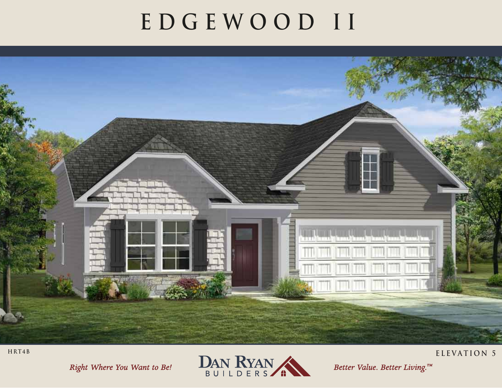## **EDGEWOOD II**



Right Where You Want to Be!



Better Value. Better Living.™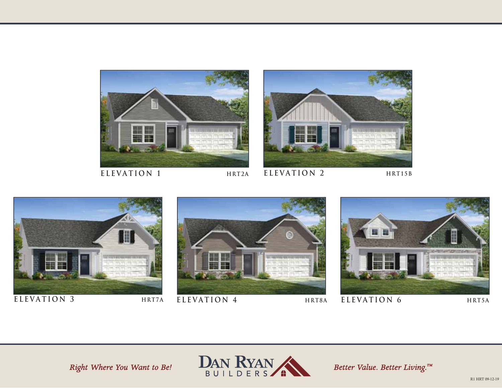

**ELEVATION 1**

**ELEVATION 2 HRT2A**





### **ELEVATION 3**







Right Where You Want to Be!



Better Value. Better Living.™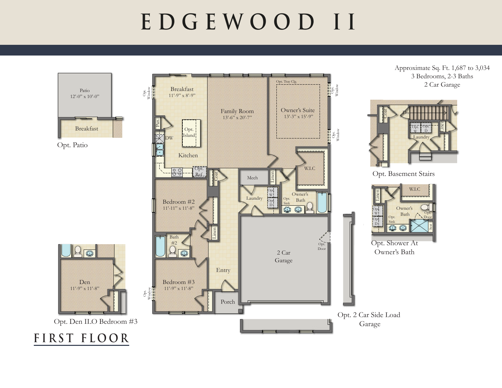# **EDGEWOOD II**